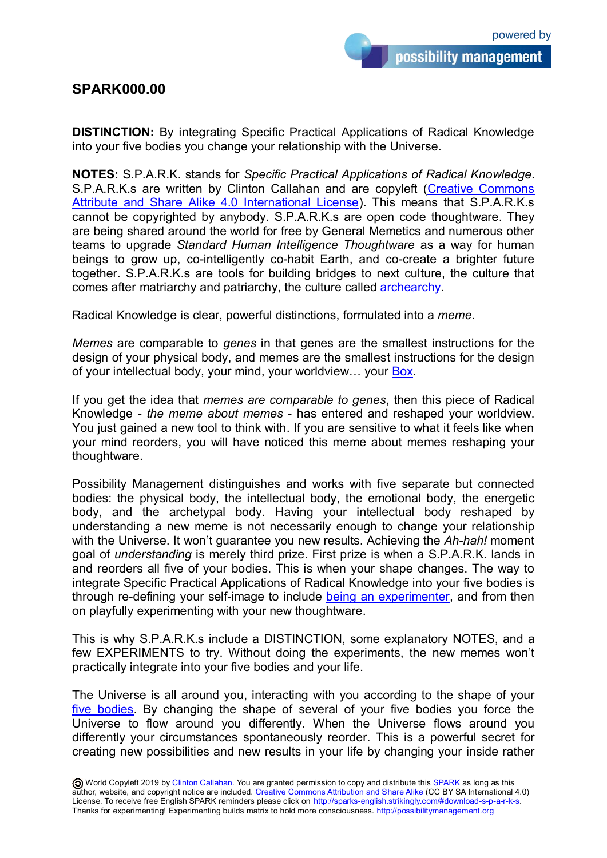## **SPARK000.00**

**DISTINCTION:** By integrating Specific Practical Applications of Radical Knowledge into your five bodies you change your relationship with the Universe.

**NOTES:** S.P.A.R.K. stands for *Specific Practical Applications of Radical Knowledge*. S.P.A.R.K.s are written by Clinton Callahan and are copyleft [\(Creative Commons](https://creativecommons.org/licenses/by-sa/4.0/)  [Attribute and Share Alike](https://creativecommons.org/licenses/by-sa/4.0/) 4.0 International License). This means that S.P.A.R.K.s cannot be copyrighted by anybody. S.P.A.R.K.s are open code thoughtware. They are being shared around the world for free by General Memetics and numerous other teams to upgrade *Standard Human Intelligence Thoughtware* as a way for human beings to grow up, co-intelligently co-habit Earth, and co-create a brighter future together. S.P.A.R.K.s are tools for building bridges to next culture, the culture that comes after matriarchy and patriarchy, the culture called [archearchy.](http://archearchy.org/)

Radical Knowledge is clear, powerful distinctions, formulated into a *meme*.

*Memes* are comparable to *genes* in that genes are the smallest instructions for the design of your physical body, and memes are the smallest instructions for the design of your intellectual body, your mind, your worldview… your [Box.](http://boxtechnology.strikingly.com/)

If you get the idea that *memes are comparable to genes*, then this piece of Radical Knowledge - *the meme about memes* - has entered and reshaped your worldview. You just gained a new tool to think with. If you are sensitive to what it feels like when your mind reorders, you will have noticed this meme about memes reshaping your thoughtware.

Possibility Management distinguishes and works with five separate but connected bodies: the physical body, the intellectual body, the emotional body, the energetic body, and the archetypal body. Having your intellectual body reshaped by understanding a new meme is not necessarily enough to change your relationship with the Universe. It won't guarantee you new results. Achieving the *Ah-hah!* moment goal of *understanding* is merely third prize. First prize is when a S.P.A.R.K. lands in and reorders all five of your bodies. This is when your shape changes. The way to integrate Specific Practical Applications of Radical Knowledge into your five bodies is through re-defining your self-image to include [being an experimenter,](http://becomeanexperimenter.strikingly.com/) and from then on playfully experimenting with your new thoughtware.

This is why S.P.A.R.K.s include a DISTINCTION, some explanatory NOTES, and a few EXPERIMENTS to try. Without doing the experiments, the new memes won't practically integrate into your five bodies and your life.

The Universe is all around you, interacting with you according to the shape of your [five bodies.](http://5bodies.strikingly.com/) By changing the shape of several of your five bodies you force the Universe to flow around you differently. When the Universe flows around you differently your circumstances spontaneously reorder. This is a powerful secret for creating new possibilities and new results in your life by changing your inside rather

O World Copyleft 2019 by [Clinton Callahan.](http://clintoncallahan.org/) You are granted permission to copy and distribute this **SPARK** as long as this author, website, and copyright notice are included. [Creative Commons Attribution and Share Alike](https://creativecommons.org/licenses/by-sa/4.0/) (CC BY SA International 4.0) License. To receive free English SPARK reminders please click on [http://sparks-english.strikingly.com/#download-s-p-a-r-k-s.](http://sparks-english.strikingly.com/#download-s-p-a-r-k-s) Thanks for experimenting! Experimenting builds matrix to hold more consciousness. [http://possibilitymanagement.org](http://possibilitymanagement.org/)